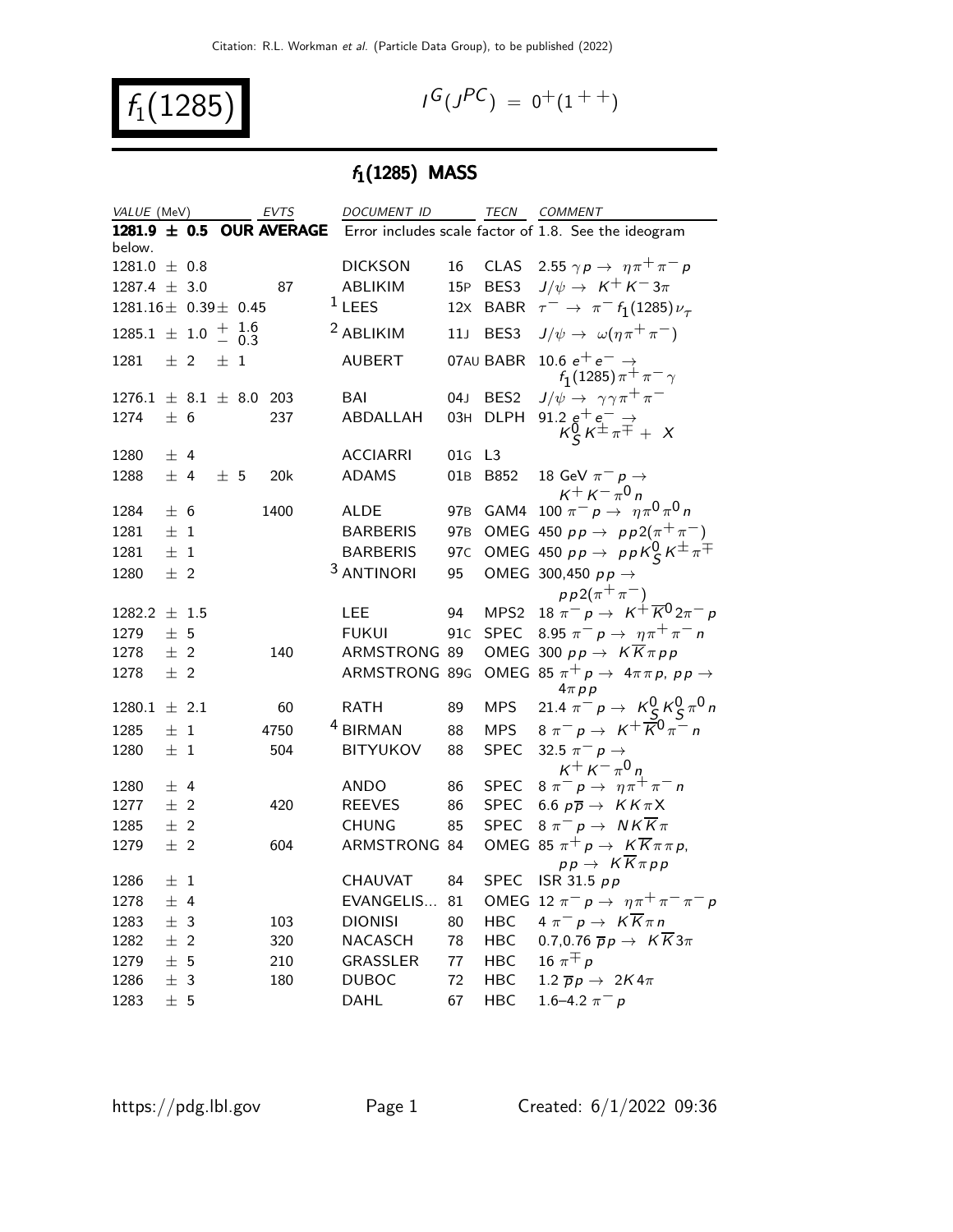$f_1(1285)$  /

$$
G(J^{PC}) = 0^+(1^{++})
$$

# $f_1(1285)$  MASS

| VALUE (MeV)                  |         |                  |                   | <b>EVTS</b>                  | DOCUMENT ID           |                 |                  | TECN COMMENT                                                               |
|------------------------------|---------|------------------|-------------------|------------------------------|-----------------------|-----------------|------------------|----------------------------------------------------------------------------|
|                              |         |                  |                   | 1281.9 $\pm$ 0.5 OUR AVERAGE |                       |                 |                  | Error includes scale factor of 1.8. See the ideogram                       |
| below.                       |         |                  |                   |                              |                       |                 |                  |                                                                            |
| $1281.0 \pm 0.8$             |         |                  |                   |                              | <b>DICKSON</b>        | 16              | CLAS             | 2.55 $\gamma p \rightarrow \eta \pi^+ \pi^- p$                             |
| $1287.4 \pm 3.0$             |         |                  |                   | 87                           | ABLIKIM               | 15P             | BES3             | $J/\psi \rightarrow K^+ K^- 3\pi$                                          |
| $1281.16 \pm 0.39 \pm 0.45$  |         |                  |                   |                              | $1$ LEES              | 12x             | <b>BABR</b>      | $\tau^ \rightarrow \pi^ f_1(1285)\nu_\tau$                                 |
| $1285.1 \pm 1.0$             |         | $\boldsymbol{+}$ | $\frac{1.6}{0.3}$ |                              | <sup>2</sup> ABLIKIM  | 11J             | BES3             | $J/\psi \rightarrow \omega(\eta \pi^+ \pi^-)$                              |
| 1281                         | $±$ 2   | 士                | 1                 |                              | <b>AUBERT</b>         |                 | 07AU BABR        | 10.6 $e^+e^- \rightarrow$<br>$f_1(1285)\pi^+\pi^-\gamma$                   |
| $1276.1 \pm 8.1 \pm 8.0$ 203 |         |                  |                   |                              | BAI                   | 04 J            | BES <sub>2</sub> | $J/\psi \rightarrow \gamma \gamma \pi^+ \pi^-$                             |
| 1274                         | ± 6     |                  |                   | 237                          | ABDALLAH              | 03H             | <b>DLPH</b>      | 91.2 $g^+e^ \rightarrow$<br>$K_S^0 K^{\pm} \pi^{\mp} + X$                  |
| 1280                         | ± 4     |                  |                   |                              | <b>ACCIARRI</b>       | 01G             | L3               |                                                                            |
| 1288                         | ± 4     | ± 5              |                   | 20k                          | <b>ADAMS</b>          | 01B             | B852             | 18 GeV $\pi^ p \rightarrow$                                                |
|                              |         |                  |                   |                              |                       |                 |                  | $K^+ K^- \pi^0 n$                                                          |
| 1284                         | ± 6     |                  |                   | 1400                         | <b>ALDE</b>           | 97 <sub>B</sub> |                  | GAM4 100 $\pi^{-} p \to \eta \pi^{0} \pi^{0} n$                            |
| 1281                         | ±1      |                  |                   |                              | <b>BARBERIS</b>       | 97 <sub>B</sub> |                  | OMEG 450 $pp \rightarrow pp2(\pi^{+}\pi^{-})$                              |
| 1281                         | $\pm$ 1 |                  |                   |                              | <b>BARBERIS</b>       | 97 <sub>C</sub> |                  | OMEG 450 $pp \rightarrow ppK_{\mathcal{S}}^0 K^{\pm} \pi^{\mp}$            |
| 1280                         | $±$ 2   |                  |                   |                              | <sup>3</sup> ANTINORI | 95              |                  | OMEG 300,450 $pp \rightarrow$                                              |
|                              |         |                  |                   |                              |                       |                 |                  | $pp2(\pi^{+}\pi^{-})$                                                      |
| $1282.2 \pm 1.5$             |         |                  |                   |                              | <b>LEE</b>            | 94              | MPS <sub>2</sub> | 18 $\pi^- p \to K^+ \overline{K}{}^0 2\pi^- p$                             |
| 1279                         | ± 5     |                  |                   |                              | <b>FUKUI</b>          | 91C             | <b>SPEC</b>      | 8.95 $\pi^- p \to \eta \pi^+ \pi^- n$                                      |
| 1278                         | $±$ 2   |                  |                   | 140                          | ARMSTRONG 89          |                 |                  | OMEG 300 $pp \rightarrow K \overline{K} \pi pp$                            |
| 1278                         | $±$ 2   |                  |                   |                              | ARMSTRONG 89G         |                 |                  | OMEG 85 $\pi^+ p \rightarrow 4\pi \pi p$ , $p p \rightarrow$<br>$4\pi p p$ |
| $1280.1 \pm 2.1$             |         |                  |                   | 60                           | <b>RATH</b>           | 89              | <b>MPS</b>       | 21.4 $\pi^- p \to K^0_S K^0_S \pi^0 n$                                     |
| 1285                         | ±1      |                  |                   | 4750                         | <sup>4</sup> BIRMAN   | 88              | <b>MPS</b>       | $8 \pi^{-} p \to K^{+} \overline{K}^{0} \pi^{-} n$                         |
| 1280                         | $\pm$ 1 |                  |                   | 504                          | <b>BITYUKOV</b>       | 88              | <b>SPEC</b>      | 32.5 $\pi^ p \rightarrow$                                                  |
|                              |         |                  |                   |                              |                       |                 |                  | $K^+ K^- \pi^0 n$                                                          |
| 1280                         | ± 4     |                  |                   |                              | <b>ANDO</b>           | 86              | <b>SPEC</b>      | $8 \pi^{-} p \to \eta \pi^{+} \pi^{-} n$                                   |
| 1277                         | ±2      |                  |                   | 420                          | <b>REEVES</b>         | 86              | <b>SPEC</b>      | 6.6 $p\overline{p} \rightarrow K K \pi X$                                  |
| 1285                         | ±2      |                  |                   |                              | <b>CHUNG</b>          | 85              | <b>SPEC</b>      | $8 \pi^- p \rightarrow N K \overline{K} \pi$                               |
| 1279                         | $±$ 2   |                  |                   | 604                          | ARMSTRONG 84          |                 |                  | OMEG 85 $\pi^+ p \to K \overline{K} \pi \pi p$ ,                           |
|                              |         |                  |                   |                              |                       |                 |                  | $pp \rightarrow K \overline{K} \pi pp$                                     |
| 1286                         | $\pm$ 1 |                  |                   |                              | CHAUVAT               | 84              | <b>SPEC</b>      | ISR 31.5 $pp$                                                              |
| 1278                         | ± 4     |                  |                   |                              | EVANGELIS             | 81              |                  | OMEG 12 $\pi^ p \rightarrow \eta \pi^+ \pi^- \pi^- p$                      |
| 1283                         | ± 3     |                  |                   | 103                          | <b>DIONISI</b>        | 80              | <b>HBC</b>       | $4 \pi^- p \rightarrow K \overline{K} \pi n$                               |
| 1282                         | $±$ 2   |                  |                   | 320                          | NACASCH               | 78              | <b>HBC</b>       | 0.7,0.76 $\overline{p}p \rightarrow K \overline{K}3\pi$                    |
| 1279                         | ± 5     |                  |                   | 210                          | <b>GRASSLER</b>       | 77              | <b>HBC</b>       | 16 $\pi \pm p$                                                             |
| 1286                         | ± 3     |                  |                   | 180                          | <b>DUBOC</b>          | 72              | HBC              | 1.2 $\overline{p}p \rightarrow 2K4\pi$                                     |
| 1283                         | ±5      |                  |                   |                              | <b>DAHL</b>           | 67              | <b>HBC</b>       | 1.6–4.2 $\pi^- p$                                                          |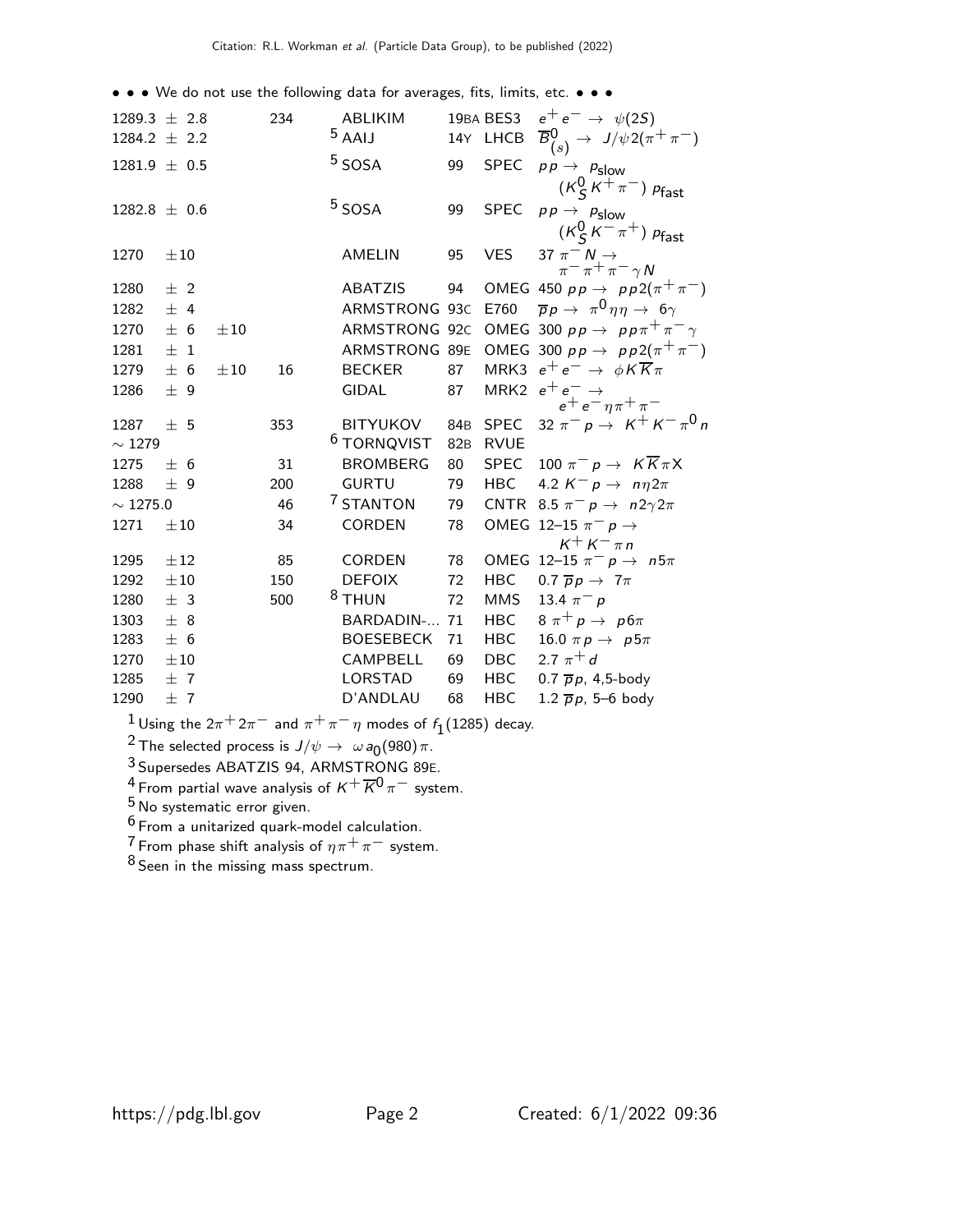• • • We do not use the following data for averages, fits, limits, etc. • • •

| $1289.3 \pm 2.8$ |          |          | 234 | ABLIKIM                |                 | 19BA BES3   | $e^+e^- \rightarrow \psi(2S)$                                   |
|------------------|----------|----------|-----|------------------------|-----------------|-------------|-----------------------------------------------------------------|
| 1284.2 $\pm$ 2.2 |          |          |     | $5$ AAIJ               |                 | 14Y LHCB    | $\overline{B}_{(s)}^0 \rightarrow J/\psi 2(\pi^+\pi^-)$         |
| $1281.9 \pm 0.5$ |          |          |     | <sup>5</sup> SOSA      | 99              | <b>SPEC</b> | $p p \rightarrow p_{\text{slow}}$                               |
|                  |          |          |     |                        |                 |             | $(\mathcal{K}^0_S\, \mathcal{K}^+\, \pi^-)$ $p_{\mathsf{fast}}$ |
| 1282.8 $\pm$ 0.6 |          |          |     | <sup>5</sup> SOSA      | 99              | <b>SPEC</b> | $p p \rightarrow p_{\text{slow}}$                               |
|                  |          |          |     |                        |                 |             | $(K_S^0 K^- \pi^+) p_{\text{fast}}$                             |
| 1270             | $\pm 10$ |          |     | <b>AMELIN</b>          | 95              | <b>VES</b>  | 37 $\pi^- N \rightarrow$                                        |
|                  |          |          |     |                        |                 |             | $\pi^ \pi^+$ $\pi^ \gamma$ N                                    |
| 1280             | $±$ 2    |          |     | <b>ABATZIS</b>         | 94              |             | OMEG 450 $pp \rightarrow pp2(\pi^{+}\pi^{-})$                   |
| 1282             | ± 4      |          |     | ARMSTRONG 93C          |                 | E760        | $\overline{p}p \rightarrow \pi^0 \eta \eta \rightarrow 6\gamma$ |
| 1270             | ± 6      | $\pm 10$ |     | ARMSTRONG 92C          |                 |             | OMEG 300 $pp \rightarrow pp\pi^{+}\pi^{-}\gamma$                |
| 1281             | ±1       |          |     | ARMSTRONG 89E          |                 |             | OMEG 300 $pp \rightarrow pp2(\pi^{+}\pi^{-})$                   |
| 1279             | ± 6      | $\pm 10$ | 16  | <b>BECKER</b>          | 87              |             | MRK3 $e^+e^- \rightarrow \phi K \overline{K} \pi$               |
| 1286             | ± 9      |          |     | GIDAL                  | 87              |             | MRK2 $e^+e^- \rightarrow$<br>$e^+e^-\eta\pi^+\pi^-$             |
| 1287             | ± 5      |          | 353 | <b>BITYUKOV</b>        | 84 <sub>B</sub> | <b>SPEC</b> | 32 $\pi^- p \to K^+ K^- \pi^0 n$                                |
| $\sim 1279$      |          |          |     | <sup>6</sup> TORNQVIST | 82 <sub>B</sub> | <b>RVUE</b> |                                                                 |
| 1275             | ± 6      |          | 31  | <b>BROMBERG</b>        | 80              | SPEC        | 100 $\pi^- p \to K \overline{K} \pi X$                          |
| 1288             | ±9       |          | 200 | <b>GURTU</b>           | 79              | <b>HBC</b>  | 4.2 $K^- p \rightarrow n \eta 2\pi$                             |
| $\sim$ 1275.0    |          |          | 46  | <sup>7</sup> STANTON   | 79              |             | CNTR 8.5 $\pi^- p \rightarrow n2\gamma 2\pi$                    |
| 1271             | $\pm 10$ |          | 34  | CORDEN                 | 78              |             | OMEG 12-15 $\pi^-$ p $\rightarrow$                              |
|                  |          |          |     |                        |                 |             | $K^+ K^- \pi n$                                                 |
| 1295             | $\pm 12$ |          | 85  | CORDEN                 | 78              |             | OMEG 12-15 $\pi^ p \rightarrow n5\pi$                           |
| 1292             | $\pm 10$ |          | 150 | <b>DEFOIX</b>          | 72              | <b>HBC</b>  | 0.7 $\overline{p}p \rightarrow 7\pi$                            |
| 1280             | ± 3      |          | 500 | <sup>8</sup> THUN      | 72              | <b>MMS</b>  | 13.4 $\pi^- p$                                                  |
| 1303             | ± 8      |          |     | BARDADIN-              | 71              | HBC         | $8 \pi^+ p \rightarrow p 6 \pi$                                 |
| 1283             | ± 6      |          |     | <b>BOESEBECK</b>       | 71              | <b>HBC</b>  | 16.0 $\pi p \rightarrow p 5\pi$                                 |
| 1270             | $\pm 10$ |          |     | CAMPBELL               | 69              | <b>DBC</b>  | 2.7 $\pi^{+}d$                                                  |
| 1285             | ±7       |          |     | LORSTAD                | 69              | <b>HBC</b>  | 0.7 $\overline{p}p$ , 4,5-body                                  |
| 1290             | ±7       |          |     | D'ANDLAU               | 68              | <b>HBC</b>  | 1.2 $\overline{p}p$ , 5–6 body                                  |

 $\frac{1}{\alpha}$ Using the 2π $^+$  2π $^-$  and  $\pi^+$ π $^-$ η modes of  $f_1$ (1285) decay.

<sup>2</sup> The selected process is  $J/\psi \rightarrow \ \omega \, a_0(980) \, \pi$ .

Supersedes ABATZIS 94, ARMSTRONG 89E.

From partial wave analysis of K+ K0 π− system.

<sup>5</sup> No systematic error given.

 $^6$  From a unitarized quark-model calculation.

From phase shift analysis of  $\eta \pi^+ \pi^-$  system.

Seen in the missing mass spectrum.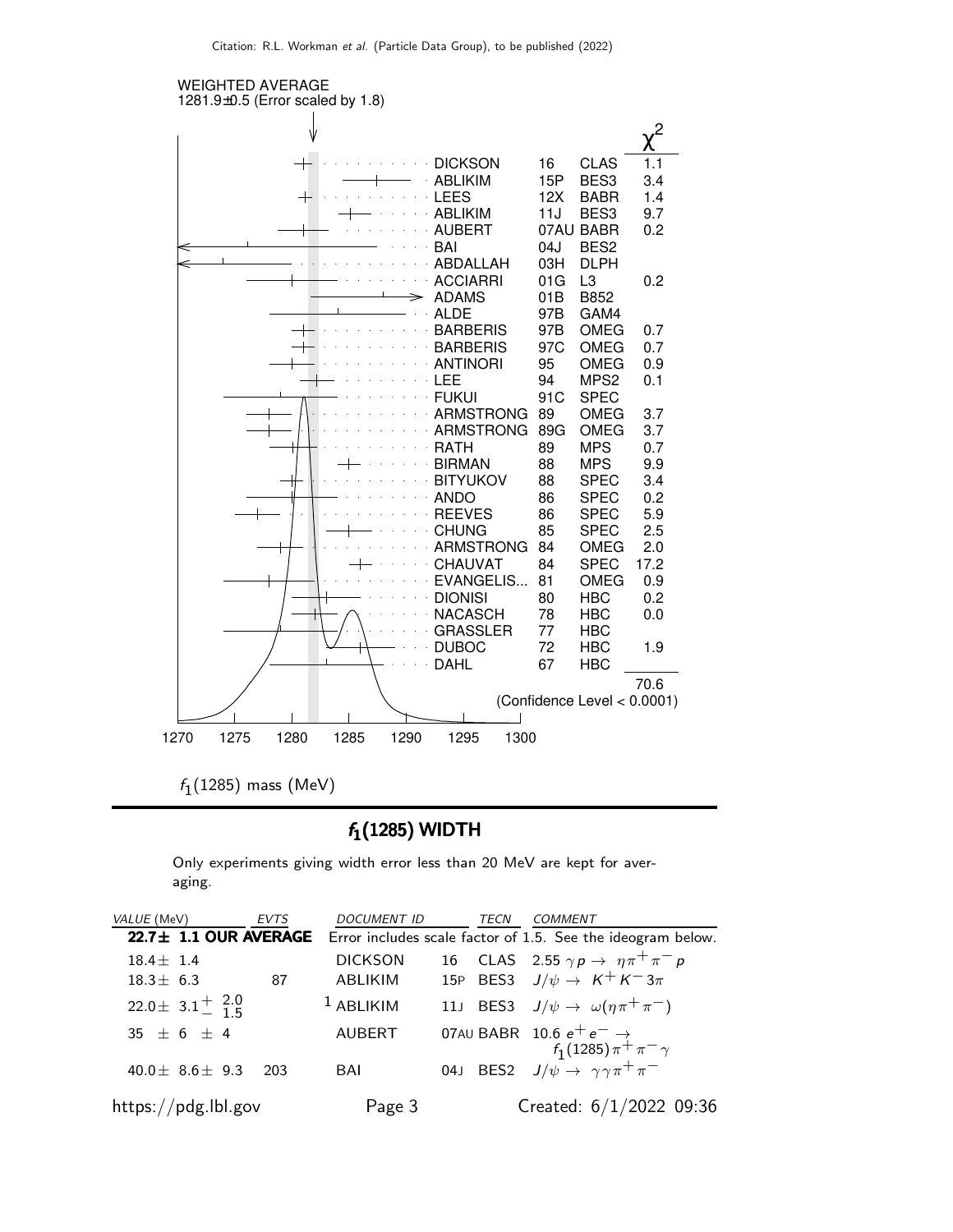

 $f_1(1285)$  mass (MeV)

#### $f_1(1285)$  WIDTH

Only experiments giving width error less than 20 MeV are kept for averaging.

| VALUE (MeV)                | <b>EVTS</b> | <b>DOCUMENT ID</b> | TECN | COMMENT                                                                                                                    |
|----------------------------|-------------|--------------------|------|----------------------------------------------------------------------------------------------------------------------------|
| $22.7 \pm 1.1$ OUR AVERAGE |             |                    |      | Error includes scale factor of 1.5. See the ideogram below.                                                                |
| $18.4 \pm 1.4$             |             | <b>DICKSON</b>     |      | 16 CLAS 2.55 $\gamma p \rightarrow \eta \pi^+ \pi^- p$                                                                     |
| $18.3 \pm 6.3$             | 87          | ABLIKIM            |      | 15P BES3 $J/\psi \rightarrow K^+ K^- 3\pi$                                                                                 |
| 22.0 ± 3.1 $^{+}$ 2.0      |             | $1$ ABLIKIM        |      | 11J BES3 $J/\psi \rightarrow \omega(\eta \pi^+ \pi^-)$                                                                     |
| $35 \pm 6 \pm 4$           |             | <b>AUBERT</b>      |      | 07AU BABR 10.6 $e^+e^- \rightarrow$<br>$f_1(1285)\pi^+\pi^-\gamma$<br>04J BES2 $J/\psi \rightarrow \gamma\gamma\pi^+\pi^-$ |
| 40.0 $\pm$ 8.6 $\pm$ 9.3   | 203         | BAI                |      |                                                                                                                            |
| https://pdg.lbl.gov        |             | Page 3             |      | Created: 6/1/2022 09:36                                                                                                    |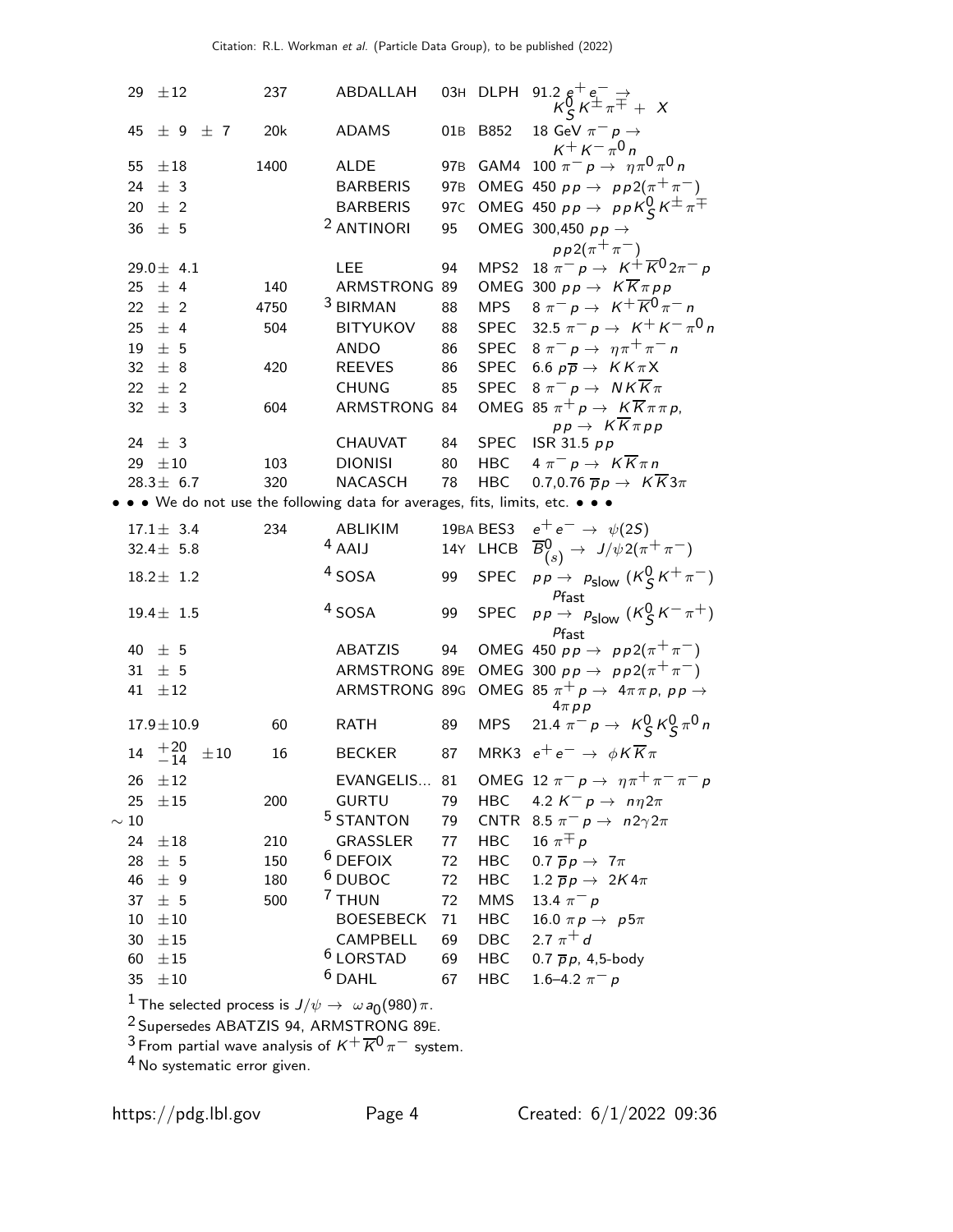|                 | 29 $\pm 12$          |           | 237  | ABDALLAH                                                                    |                 | 03H DLPH                 | 91.2 $g^+e^-$                                                                                                 |
|-----------------|----------------------|-----------|------|-----------------------------------------------------------------------------|-----------------|--------------------------|---------------------------------------------------------------------------------------------------------------|
| 45              | $\pm$ 9 $\pm$ 7      |           | 20k  | <b>ADAMS</b>                                                                | 01B             | B852                     | 18 GeV $\pi^- p \rightarrow$<br>$K^+ K^- \pi^0 n$                                                             |
| 55              | $\pm 18$             |           | 1400 | ALDE                                                                        | 97 <sub>B</sub> |                          | GAM4 100 $\pi^- p \to \eta \pi^0 \pi^0 n$                                                                     |
|                 | 24 $\pm$ 3           |           |      | <b>BARBERIS</b>                                                             | 97 <sub>B</sub> |                          | OMEG 450 $pp \rightarrow pp2(\pi^{+}\pi^{-})$                                                                 |
|                 | 20 $\pm$ 2           |           |      | <b>BARBERIS</b>                                                             | 97 <sub>C</sub> |                          | OMEG 450 $pp \rightarrow ppK_S^0 K^{\pm} \pi^{\mp}$                                                           |
| 36              | ± 5                  |           |      | <sup>2</sup> ANTINORI                                                       | 95              |                          | OMEG 300,450 $pp \rightarrow$                                                                                 |
|                 |                      |           |      |                                                                             |                 |                          | $pp2(\pi^{+}\pi^{-})$                                                                                         |
|                 | 29.0 $\pm$ 4.1       |           |      | <b>LEE</b>                                                                  | 94              | MPS <sub>2</sub>         | 18 $\pi^ p \rightarrow K^+ \overline{K}^0 2\pi^- p$                                                           |
| 25              | ± 4                  |           | 140  | ARMSTRONG 89                                                                |                 |                          | OMEG 300 $pp \rightarrow K \overline{K} \pi pp$                                                               |
|                 | $22 \pm 2$           |           | 4750 | <sup>3</sup> BIRMAN                                                         | 88              | <b>MPS</b>               | $8 \pi^{-} p \to K^{+} \overline{K}^{0} \pi^{-} n$                                                            |
|                 | 25 $\pm$ 4           |           | 504  | BITYUKOV                                                                    | 88              | SPEC                     | 32.5 $\pi^-$ p $\to$ K <sup>+</sup> K <sup>-</sup> $\pi^0$ n                                                  |
|                 | $19 \pm 5$           |           |      | <b>ANDO</b>                                                                 | 86              | SPEC                     | $8 \pi^{-} p \rightarrow \eta \pi^{+} \pi^{-} n$                                                              |
| 32 <sup>2</sup> | ± 8                  |           | 420  | <b>REEVES</b>                                                               | 86              | SPEC                     | 6.6 $p\overline{p} \rightarrow K K \pi X$                                                                     |
|                 | 22 $\pm$ 2           |           |      | <b>CHUNG</b>                                                                | 85              | SPEC                     | $8 \pi^- p \rightarrow N K \overline{K} \pi$                                                                  |
| 32 <sup>2</sup> | ± 3                  |           | 604  | ARMSTRONG 84                                                                |                 |                          | OMEG 85 $\pi^+ p \to K \overline{K} \pi \pi p$ ,                                                              |
| 24              | ± 3                  |           |      | CHAUVAT                                                                     | 84              | SPEC                     | $pp \rightarrow K \overline{K} \pi pp$<br>ISR 31.5 $pp$                                                       |
|                 | 29 $\pm 10$          |           | 103  | <b>DIONISI</b>                                                              | 80              | HBC                      | $4 \pi^- p \rightarrow K \overline{K} \pi n$                                                                  |
|                 | $28.3 \pm 6.7$       |           | 320  | NACASCH                                                                     | 78              | HBC                      | 0.7,0.76 $\overline{p}p \rightarrow K \overline{K}3\pi$                                                       |
|                 |                      |           |      | • • We do not use the following data for averages, fits, limits, etc. • • • |                 |                          |                                                                                                               |
|                 | $17.1 \pm 3.4$       |           | 234  | ABLIKIM                                                                     |                 |                          | 19BA BES3 $e^+e^- \rightarrow \psi(2S)$                                                                       |
|                 | 32.4 $\pm$ 5.8       |           |      | $4$ AAIJ                                                                    |                 | 14Y LHCB                 | $\overline{B}_{(s)}^0 \rightarrow J/\psi 2(\pi^+\pi^-)$                                                       |
|                 |                      |           |      | $4$ SOSA                                                                    | 99              | <b>SPEC</b>              |                                                                                                               |
|                 | $18.2 \pm 1.2$       |           |      |                                                                             |                 |                          | $pp \rightarrow p_{\text{slow}} (K_S^0 K^+ \pi^-)$<br>$P$ fast                                                |
|                 | $19.4 \pm 1.5$       |           |      | <sup>4</sup> SOSA                                                           | 99              | <b>SPEC</b>              | Plast<br>$pp \rightarrow$ $p_{\text{slow}}$ $(K_S^0 K^- \pi^+)$                                               |
|                 |                      |           |      |                                                                             |                 |                          | $P$ fast                                                                                                      |
|                 | 40 $\pm$ 5           |           |      | <b>ABATZIS</b>                                                              | 94              |                          | OMEG 450 $pp \rightarrow pp2(\pi^{+}\pi^{-})$                                                                 |
| 31<br>41        | ± 5<br>±12           |           |      | ARMSTRONG 89E<br>ARMSTRONG 89G                                              |                 |                          | OMEG 300 $pp \rightarrow pp2(\pi^{+}\pi^{-})$<br>OMEG 85 $\pi^+ p \rightarrow 4\pi \pi p$ , $p p \rightarrow$ |
|                 |                      |           |      |                                                                             |                 |                          | $4\pi p p$                                                                                                    |
|                 | $17.9 \pm 10.9$      |           | 60   | <b>RATH</b>                                                                 | 89              | MPS                      | 21.4 $\pi^- p \to K_S^0 K_S^0 \pi^0 n$                                                                        |
|                 | $14 \t +20 \t -14$   | $\pm\,10$ | 16   | <b>BECKER</b>                                                               | 87              |                          | MRK3 $e^+e^- \rightarrow \phi K \overline{K} \pi$                                                             |
| 26              | $\pm 12$             |           |      | EVANGELIS 81                                                                |                 |                          | OMEG 12 $\pi^- p \to \eta \pi^+ \pi^- \pi^- p$                                                                |
| 25              | $\pm 15$             |           | 200  | <b>GURTU</b>                                                                | 79              | <b>HBC</b>               | 4.2 $K^- p \rightarrow n \eta 2\pi$                                                                           |
| $\sim 10$       |                      |           |      | <sup>5</sup> STANTON                                                        | 79              |                          | CNTR 8.5 $\pi^- p \rightarrow n2\gamma 2\pi$                                                                  |
| 24              | $\pm 18$             |           | 210  | GRASSLER                                                                    | 77              | <b>HBC</b>               | 16 $\pi \pm p$                                                                                                |
| 28              | $\pm$ 5              |           | 150  | $6$ DEFOIX                                                                  | 72              | <b>HBC</b>               | 0.7 $\overline{p}p \rightarrow 7\pi$                                                                          |
| 46              | ± 9                  |           | 180  | $6$ DUBOC                                                                   | 72              | <b>HBC</b>               | 1.2 $\overline{p}p \rightarrow 2K4\pi$                                                                        |
| 37              | ± 5                  |           | 500  | 7 THUN                                                                      | 72              | <b>MMS</b>               | 13.4 $\pi^- p$                                                                                                |
| 10              | $\pm 10$             |           |      | <b>BOESEBECK</b>                                                            | 71              | HBC                      | 16.0 $\pi p \rightarrow p 5\pi$<br>2.7 $\pi^{+}$ d                                                            |
| 30<br>60        | $\pm 15$<br>$\pm 15$ |           |      | CAMPBELL<br><sup>6</sup> LORSTAD                                            | 69<br>69        | <b>DBC</b><br><b>HBC</b> | 0.7 $\bar{p}p$ , 4,5-body                                                                                     |
| 35 <sub>1</sub> | $\pm 10$             |           |      | $6$ DAHL                                                                    | 67              | <b>HBC</b>               | 1.6–4.2 $\pi^- p$                                                                                             |
|                 |                      |           |      |                                                                             |                 |                          |                                                                                                               |

 $\frac{1}{\gamma}$ The selected process is  $J/\psi \rightarrow \omega a_0(980) \pi$ .

Supersedes ABATZIS 94, ARMSTRONG 89E.

 $^3$ From partial wave analysis of  $\mathrm{\mathit{K}^{+} \overline{\mathit{K}^{0}}$   $\mathrm{\pi^{-}}$  system.

 $^4$  No systematic error given.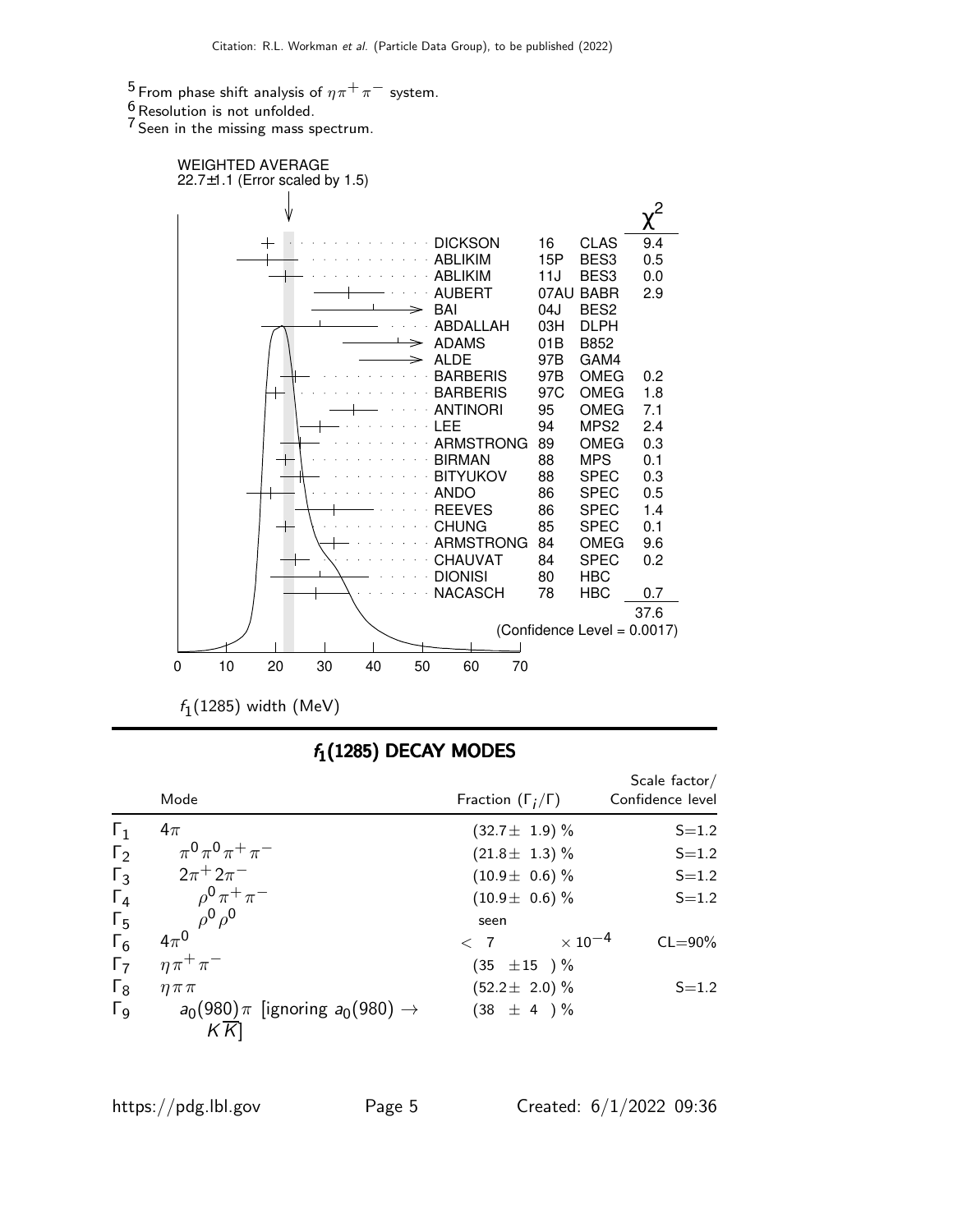<sup>5</sup> From phase shift analysis of  $\eta \pi^+ \pi^-$  system.

 $\frac{6}{7}$ Resolution is not unfolded.

 $7$  Seen in the missing mass spectrum.



 $f_1(1285)$  width (MeV)

### $f_1(1285)$  DECAY MODES

|                       | Mode                                           | Fraction $(\Gamma_i/\Gamma)$ | Scale factor/<br>Confidence level  |
|-----------------------|------------------------------------------------|------------------------------|------------------------------------|
| $\Gamma_1$            | $4\pi$                                         | $(32.7 \pm 1.9)$ %           | $S = 1.2$                          |
| $\Gamma_2$            | $\pi^{0}\pi^{0}\pi^{+}\pi^{-}$                 | $(21.8 \pm 1.3)$ %           | $S = 1.2$                          |
| $\Gamma_3$            | $2\pi^{+}2\pi^{-}$                             | $(10.9 \pm 0.6)$ %           | $S = 1.2$                          |
| $\Gamma_4$            | $\rho^{0} \pi^{+} \pi^{-}$                     | $(10.9 \pm 0.6)$ %           | $S = 1.2$                          |
| $\Gamma_5$            | $\rho^0 \rho^0$                                | seen                         |                                    |
| $\Gamma_6$            | $4\pi^0$                                       | $\langle$ 7                  | $\times$ 10 $^{-4}$<br>$CL = 90\%$ |
| $\Gamma_7$            | $\eta \pi^+ \pi^-$                             | $(35 \pm 15) \%$             |                                    |
| $\Gamma_8$            | $\eta \pi \pi$                                 | $(52.2 \pm 2.0)\%$           | $S = 1.2$                          |
| $\Gamma$ <sub>9</sub> | $a_0(980)\pi$ [ignoring $a_0(980) \rightarrow$ | $(38 \pm 4) \%$              |                                    |
|                       | KК                                             |                              |                                    |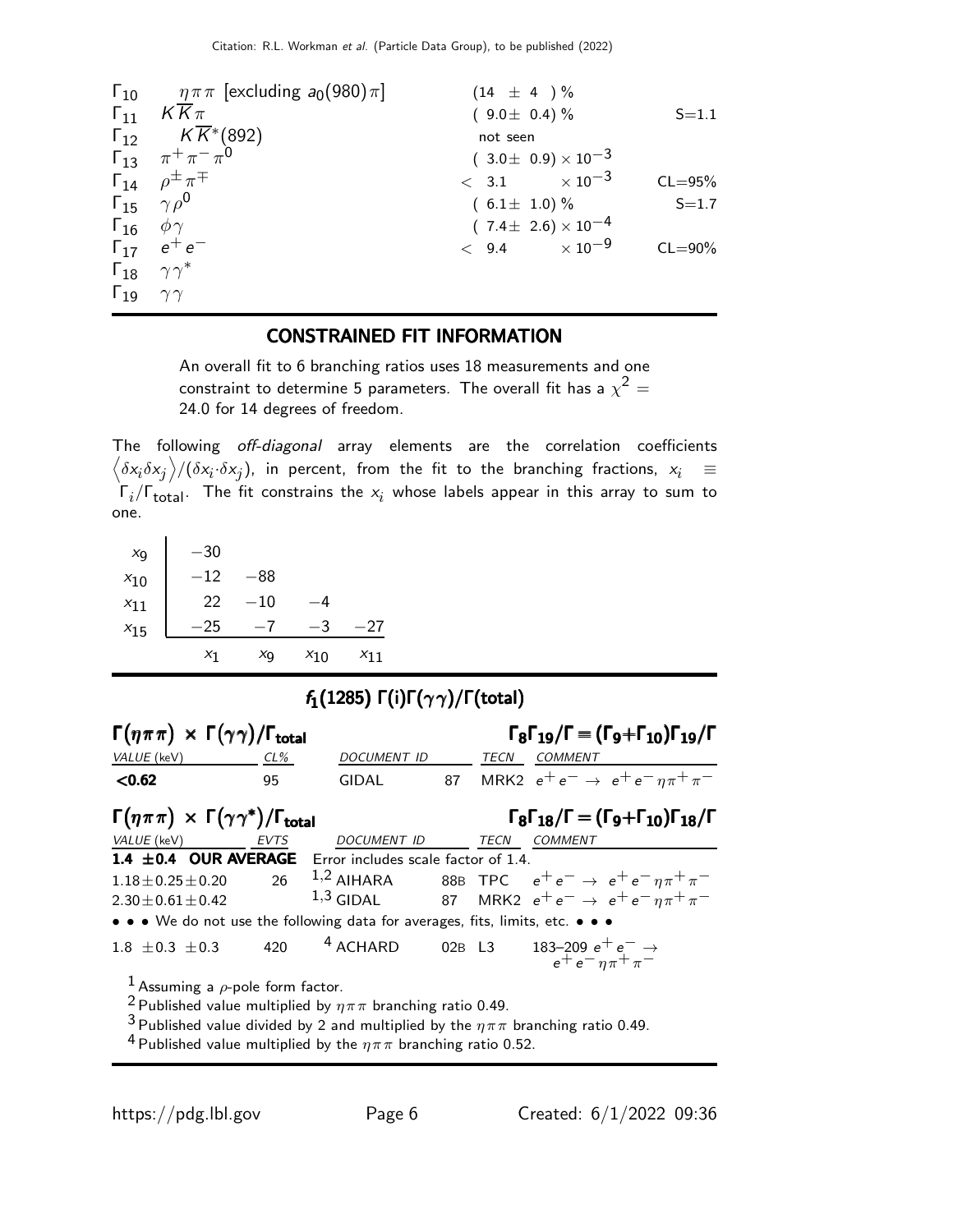|                              | $\Gamma_{10}$ $\eta \pi \pi$ [excluding $a_0(980)\pi$ ] | $(14 \pm 4) \%$                |             |
|------------------------------|---------------------------------------------------------|--------------------------------|-------------|
|                              | $\Gamma_{11}$ KK $\pi$                                  | $(9.0 \pm 0.4)\%$              | $S = 1.1$   |
|                              | $\Gamma_{12}$ $K\overline{K}$ *(892)                    | not seen                       |             |
|                              | $\Gamma_{13}$ $\pi^{+}\pi^{-}\pi^{0}$                   | $(3.0 \pm 0.9) \times 10^{-3}$ |             |
|                              | $\Gamma_{14}$ $\rho^{\pm} \pi^{\mp}$                    | $< 3.1 \times 10^{-3}$         | $CL = 95%$  |
|                              | $\Gamma_{15}$ $\gamma \rho^0$                           | $(6.1 \pm 1.0)\%$              | $S = 1.7$   |
| $\Gamma_{16}$ $\phi \gamma$  |                                                         | $(7.4 \pm 2.6) \times 10^{-4}$ |             |
|                              | $\Gamma_{17}$ $e^+e^-$                                  | $< 9.4 \times 10^{-9}$         | $CL = 90\%$ |
|                              | $\Gamma_{18}$ $\gamma\gamma^*$                          |                                |             |
| $\Gamma_{19}$ $\gamma\gamma$ |                                                         |                                |             |

#### CONSTRAINED FIT INFORMATION

An overall fit to 6 branching ratios uses 18 measurements and one constraint to determine 5 parameters. The overall fit has a  $\chi^2 =$ 24.0 for 14 degrees of freedom.

The following off-diagonal array elements are the correlation coefficients  $\left<\delta x_i\delta x_j\right>$ / $(\delta x_i\cdot\delta x_j)$ , in percent, from the fit to the branching fractions,  $x_i$   $\;\equiv$  $\mathsf{\Gamma}_i/\mathsf{\Gamma}_{\mathsf{total}}$ . The fit constrains the  $\mathsf{x}_i$  whose labels appear in this array to sum to one.

| $x_{9}$  | $-30$ |          |          |          |
|----------|-------|----------|----------|----------|
| $x_{10}$ | -12   | -88      |          |          |
| $x_{11}$ | 22    | $^{-10}$ | -4       |          |
| $x_{15}$ | -25   | — 1      | -3       | -27      |
|          | X1    | Χq       | $x_{10}$ | $x_{11}$ |

### $f_1(1285)$  Γ(i)Γ $(\gamma \gamma)/$ Γ(total)

| $\Gamma(\eta \pi \pi) \times \Gamma(\gamma \gamma) / \Gamma_{\text{total}}$   |             |                                                                                 |             | $\Gamma_8 \Gamma_{19}/\Gamma = (\Gamma_9 + \Gamma_{10}) \Gamma_{19}/\Gamma$                          |
|-------------------------------------------------------------------------------|-------------|---------------------------------------------------------------------------------|-------------|------------------------------------------------------------------------------------------------------|
| VALUE (keV)                                                                   | $CL\%$      | DOCUMENT ID                                                                     | <b>TECN</b> | <b>COMMENT</b>                                                                                       |
| < 0.62                                                                        | 95          | <b>GIDAL</b>                                                                    |             | 87 MRK2 $e^+e^- \rightarrow e^+e^- \eta \pi^+ \pi^-$                                                 |
| $\Gamma(\eta \pi \pi) \times \Gamma(\gamma \gamma^*)/\Gamma_{\text{total}}$   |             |                                                                                 |             | $\Gamma_8 \Gamma_{18}/\Gamma = (\Gamma_9 + \Gamma_{10}) \Gamma_{18}/\Gamma$                          |
| VALUE (keV)                                                                   | <b>EVTS</b> | <b>DOCUMENT ID</b>                                                              | TECN        | <b>COMMENT</b>                                                                                       |
| 1.4 ±0.4 OUR AVERAGE Error includes scale factor of 1.4.                      |             |                                                                                 |             |                                                                                                      |
| $1.18 \pm 0.25 \pm 0.20$                                                      | 26          |                                                                                 |             | <sup>1,2</sup> AIHARA 88B TPC $e^+e^- \rightarrow e^+e^- \eta \pi^+ \pi^-$                           |
| $2.30 \pm 0.61 \pm 0.42$                                                      |             |                                                                                 |             | 1,3 GIDAL 87 MRK2 $e^+e^- \to e^+e^- \eta \pi^+ \pi^-$                                               |
| • • • We do not use the following data for averages, fits, limits, etc. • • • |             |                                                                                 |             |                                                                                                      |
| $1.8 \pm 0.3 \pm 0.3$                                                         | 420         | <sup>4</sup> ACHARD                                                             |             | 02B L3 183-209 $e^+e^- \rightarrow$<br>$e^+e^-\eta\pi^+\pi^-$                                        |
| <sup>1</sup> Assuming a $\rho$ -pole form factor.                             |             |                                                                                 |             |                                                                                                      |
|                                                                               |             | <sup>2</sup> Published value multiplied by $\eta \pi \pi$ branching ratio 0.49. |             |                                                                                                      |
|                                                                               |             |                                                                                 |             | <sup>3</sup> Published value divided by 2 and multiplied by the $\eta \pi \pi$ branching ratio 0.49. |

<sup>4</sup> Published value multiplied by the  $\eta \pi \pi$  branching ratio 0.52.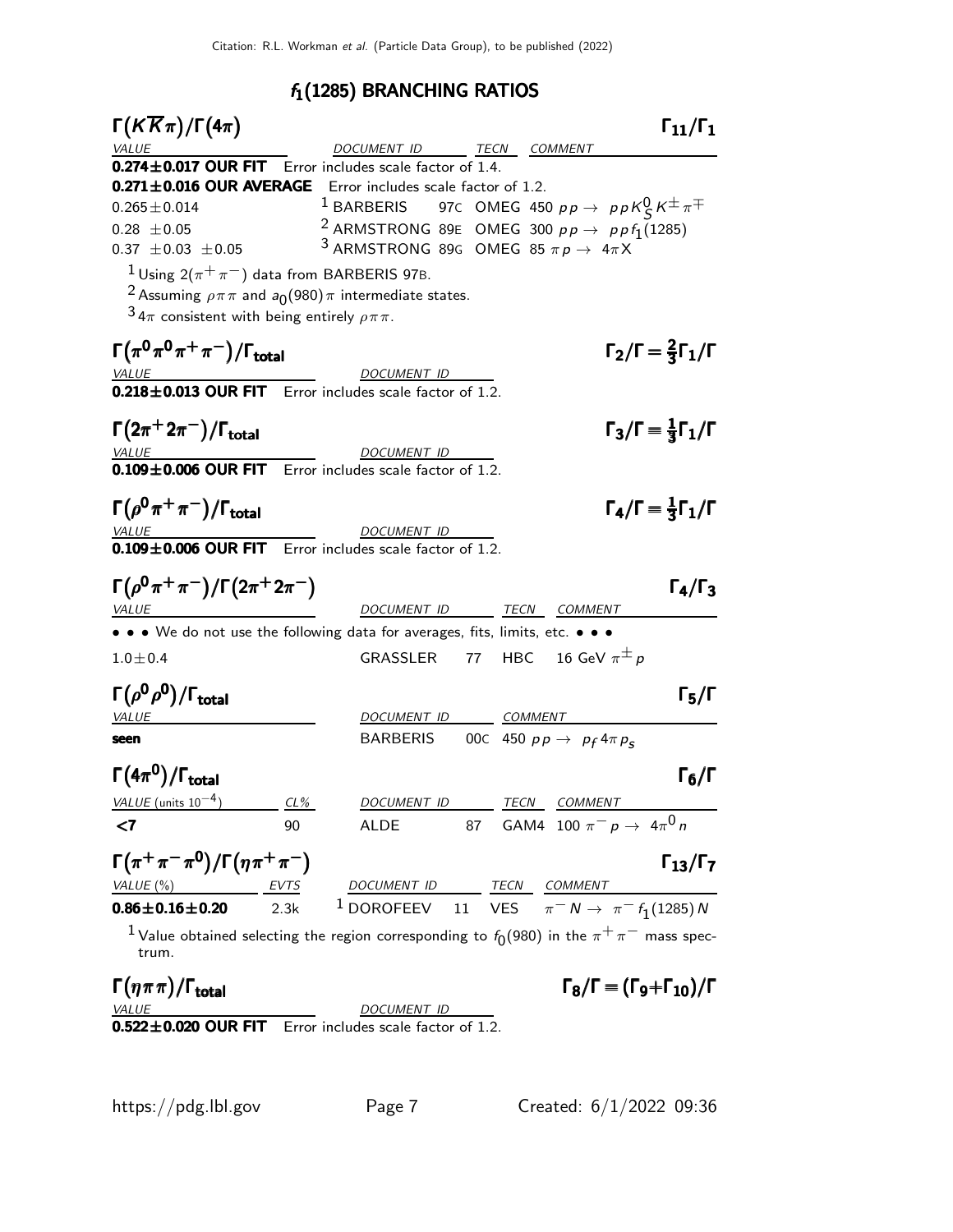## $f_1(1285)$  BRANCHING RATIOS

| $\Gamma(K\overline{K}\pi)/\Gamma(4\pi)$                                                                  |        |                                                                                                                                        |  |                                                               | $\Gamma_{11}/\Gamma_1$                         |
|----------------------------------------------------------------------------------------------------------|--------|----------------------------------------------------------------------------------------------------------------------------------------|--|---------------------------------------------------------------|------------------------------------------------|
| <i>VALUE</i>                                                                                             |        | DOCUMENT ID TECN COMMENT                                                                                                               |  |                                                               |                                                |
| 0.274±0.017 OUR FIT Error includes scale factor of 1.4.                                                  |        |                                                                                                                                        |  |                                                               |                                                |
| 0.271±0.016 OUR AVERAGE Error includes scale factor of 1.2.                                              |        |                                                                                                                                        |  |                                                               |                                                |
| $0.265 \pm 0.014$                                                                                        |        | $^{-1}$ BARBERIS g7C OMEG 450 pp $\rightarrow$ ppK $^0_S\kappa^\pm\pi^\mp$                                                             |  |                                                               |                                                |
| $0.28 \pm 0.05$                                                                                          |        | <sup>2</sup> ARMSTRONG 89E OMEG 300 $pp \rightarrow ppf_1(1285)$                                                                       |  |                                                               |                                                |
| $0.37 \pm 0.03 \pm 0.05$                                                                                 |        | <sup>3</sup> ARMSTRONG 89G OMEG 85 $\pi p \rightarrow 4\pi X$                                                                          |  |                                                               |                                                |
| $1$ Using 2( $\pi^+\pi^-$ ) data from BARBERIS 97B.                                                      |        |                                                                                                                                        |  |                                                               |                                                |
|                                                                                                          |        | <sup>2</sup> Assuming $\rho \pi \pi$ and $a_0(980) \pi$ intermediate states.                                                           |  |                                                               |                                                |
| $34\pi$ consistent with being entirely $\rho \pi \pi$ .                                                  |        |                                                                                                                                        |  |                                                               |                                                |
| $\Gamma(\pi^0\pi^0\pi^+\pi^-)/\Gamma_{\rm total}$                                                        |        |                                                                                                                                        |  |                                                               | $\Gamma_2/\Gamma = \frac{2}{3}\Gamma_1/\Gamma$ |
| VALUE                                                                                                    |        | <b>DOCUMENT ID</b>                                                                                                                     |  |                                                               |                                                |
| 0.218±0.013 OUR FIT Error includes scale factor of 1.2.                                                  |        |                                                                                                                                        |  |                                                               |                                                |
|                                                                                                          |        |                                                                                                                                        |  |                                                               | $\Gamma_3/\Gamma = \frac{1}{3}\Gamma_1/\Gamma$ |
| $\Gamma(2\pi^+2\pi^-)/\Gamma_{\rm total}$                                                                |        | DOCUMENT ID                                                                                                                            |  |                                                               |                                                |
| $\underline{\text{VALUE}}$ DOCUMENT ID<br><b>0.109±0.006 OUR FIT</b> Error includes scale factor of 1.2. |        |                                                                                                                                        |  |                                                               |                                                |
|                                                                                                          |        |                                                                                                                                        |  |                                                               |                                                |
| $\Gamma(\rho^0\pi^+\pi^-)/\Gamma_{\rm total}$                                                            |        |                                                                                                                                        |  |                                                               | $\Gamma_4/\Gamma = \frac{1}{3}\Gamma_1/\Gamma$ |
| <b>VALUE</b>                                                                                             |        | <b>DOCUMENT ID</b>                                                                                                                     |  |                                                               |                                                |
| $0.109 \pm 0.006$ OUR FIT Error includes scale factor of 1.2.                                            |        |                                                                                                                                        |  |                                                               |                                                |
|                                                                                                          |        |                                                                                                                                        |  |                                                               |                                                |
| $\Gamma(\rho^0\pi^+\pi^-)/\Gamma(2\pi^+2\pi^-)$                                                          |        |                                                                                                                                        |  |                                                               | $\Gamma_4/\Gamma_3$                            |
| <b>VALUE</b>                                                                                             |        | DOCUMENT ID TECN COMMENT                                                                                                               |  |                                                               |                                                |
| • • • We do not use the following data for averages, fits, limits, etc. • • •                            |        |                                                                                                                                        |  |                                                               |                                                |
| $1.0 \pm 0.4$                                                                                            |        | GRASSLER 77 HBC 16 GeV $\pi^{\pm} p$                                                                                                   |  |                                                               |                                                |
| $\Gamma(\rho^0\rho^0)/\Gamma_{\rm total}$                                                                |        |                                                                                                                                        |  |                                                               | $\Gamma_5/\Gamma$                              |
| <u>VALUE</u>                                                                                             |        | DOCUMENT ID COMMENT                                                                                                                    |  |                                                               |                                                |
| seen                                                                                                     |        | BARBERIS 00C 450 $pp \rightarrow p_f 4 \pi p_s$                                                                                        |  |                                                               |                                                |
|                                                                                                          |        |                                                                                                                                        |  |                                                               |                                                |
| $\Gamma(4\pi^0)/\Gamma_{\rm total}$                                                                      |        |                                                                                                                                        |  |                                                               | $\Gamma_6/\Gamma$                              |
| $VALUE$ (units $10^{-4}$ )                                                                               | $CL\%$ | DOCUMENT ID                                                                                                                            |  | TECN COMMENT                                                  |                                                |
| <7                                                                                                       | 90     | ALDE                                                                                                                                   |  | 87 GAM4 100 $\pi^- p \to 4\pi^0 n$                            |                                                |
| $\Gamma(\pi^+\pi^-\pi^0)/\Gamma(\eta\pi^+\pi^-)$                                                         |        |                                                                                                                                        |  |                                                               | $\Gamma_{13}/\Gamma_{7}$                       |
|                                                                                                          |        |                                                                                                                                        |  |                                                               |                                                |
| $\frac{VALUE(%)}{0.86 \pm 0.16 \pm 0.20}$ $\frac{EVTS}{2.3k}$<br>$0.86 \pm 0.16 \pm 0.20$                |        | $\frac{DOCUMENT ID}{1 \text{ DOROFEEV}} \frac{TECN}{11} \frac{COMMENT}{VES} \frac{COMMENT}{\pi^{-} N \rightarrow \pi^{-} f_1(1285) N}$ |  |                                                               |                                                |
| trum.                                                                                                    |        | $^1$ Value obtained selecting the region corresponding to $f_0(980)$ in the $\pi^+\pi^-$ mass spec-                                    |  |                                                               |                                                |
|                                                                                                          |        |                                                                                                                                        |  |                                                               |                                                |
| $\Gamma(\eta \pi \pi)/\Gamma_{\rm total}$                                                                |        |                                                                                                                                        |  | $\Gamma_{\rm R}/\Gamma$ = $(\Gamma_{9} + \Gamma_{10})/\Gamma$ |                                                |
| <b>VALUE</b>                                                                                             |        | DOCUMENT ID                                                                                                                            |  |                                                               |                                                |

 $0.522 \pm 0.020$  OUR FIT Error includes scale factor of 1.2.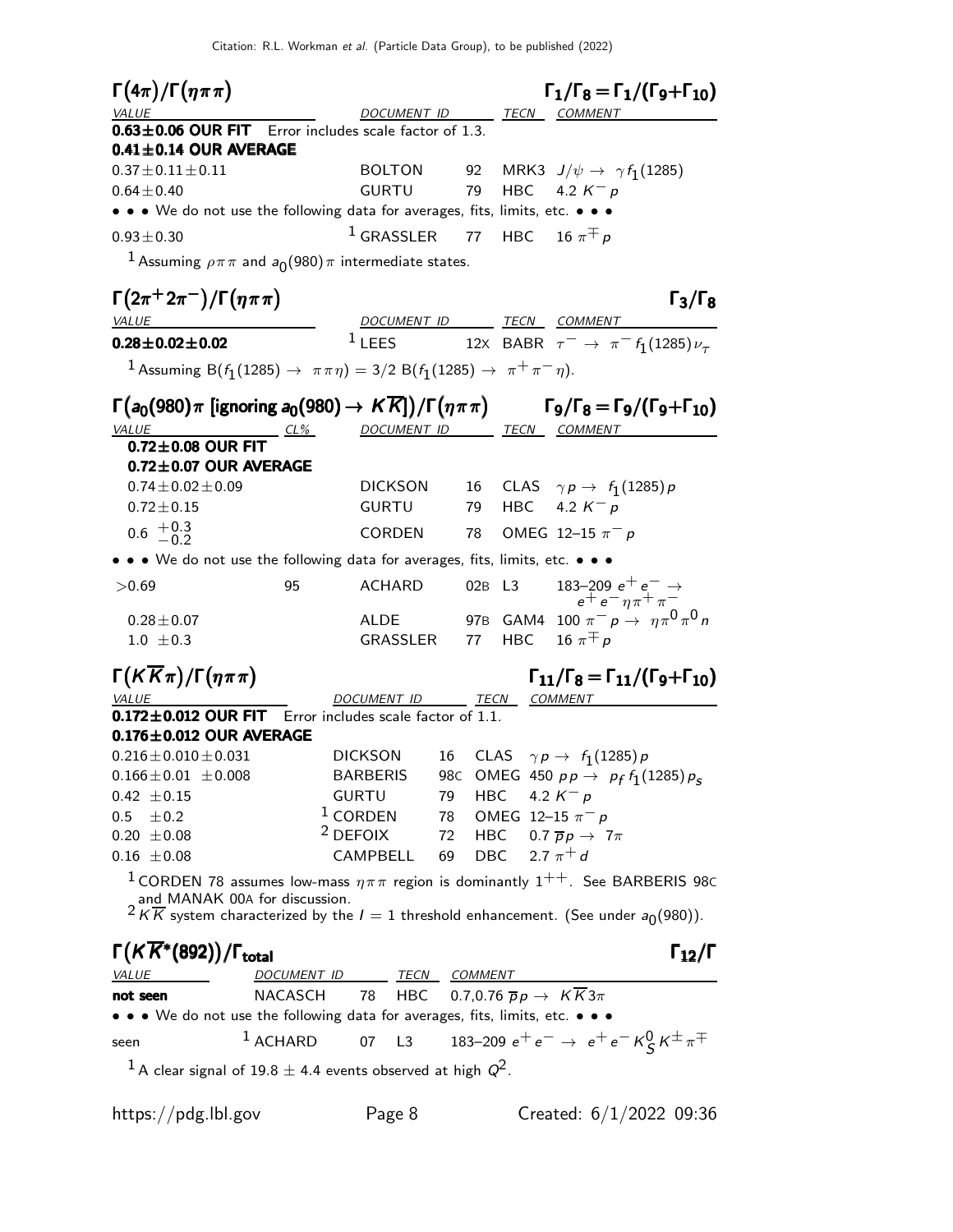| $\Gamma(4\pi)/\Gamma(\eta\pi\pi)$                                                                                                                                       |            |                                                                       |    |            |                    | $\Gamma_1/\Gamma_8 = \Gamma_1/(\Gamma_9 + \Gamma_{10})$                  |                      |
|-------------------------------------------------------------------------------------------------------------------------------------------------------------------------|------------|-----------------------------------------------------------------------|----|------------|--------------------|--------------------------------------------------------------------------|----------------------|
| VALUE                                                                                                                                                                   |            |                                                                       |    |            |                    | DOCUMENT ID TECN COMMENT                                                 |                      |
| 0.63±0.06 OUR FIT Error includes scale factor of 1.3.<br>$0.41 \pm 0.14$ OUR AVERAGE                                                                                    |            |                                                                       |    |            |                    |                                                                          |                      |
| $0.37\!\pm\!0.11\!\pm\!0.11$                                                                                                                                            |            |                                                                       |    |            |                    | BOLTON 92 MRK3 $J/\psi \rightarrow \gamma f_1(1285)$                     |                      |
| $0.64 \pm 0.40$                                                                                                                                                         |            | GURTU                                                                 |    | 79         |                    | HBC $4.2 K^- p$                                                          |                      |
| • • • We do not use the following data for averages, fits, limits, etc. • • •                                                                                           |            |                                                                       |    |            |                    |                                                                          |                      |
| $0.93 \pm 0.30$                                                                                                                                                         |            | $1$ GRASSLER 77                                                       |    |            |                    | HBC 16 $\pi \pm p$                                                       |                      |
| <sup>1</sup> Assuming $\rho \pi \pi$ and $a_0(980) \pi$ intermediate states.                                                                                            |            |                                                                       |    |            |                    |                                                                          |                      |
| $\Gamma(2\pi^+2\pi^-)/\Gamma(\eta\pi\pi)$                                                                                                                               |            |                                                                       |    |            |                    |                                                                          | $\Gamma_3/\Gamma_8$  |
| VALUE                                                                                                                                                                   |            | $1$ LEES                                                              |    |            |                    | DOCUMENT ID TECN COMMENT                                                 |                      |
| $0.28\pm0.02\pm0.02$                                                                                                                                                    |            |                                                                       |    |            |                    | 12X BABR $\tau^- \to \pi^- f_1(1285) \nu_\tau$                           |                      |
| 1 Assuming B( $f_1(1285) \to \pi \pi \eta$ ) = 3/2 B( $f_1(1285) \to \pi^+ \pi^- \eta$ ).                                                                               |            |                                                                       |    |            |                    |                                                                          |                      |
| $\Gamma(a_0(980)\pi$ [ignoring $a_0(980) \rightarrow K\overline{K}$ ])/ $\Gamma(\eta\pi\pi)$ $\Gamma_9/\Gamma_8 = \Gamma_9/(\Gamma_9 + \Gamma_{10})$<br>VALUE<br>$CL\%$ |            | DOCUMENT ID TECN COMMENT                                              |    |            |                    |                                                                          |                      |
| $0.72 \pm 0.08$ OUR FIT                                                                                                                                                 |            |                                                                       |    |            |                    |                                                                          |                      |
| $0.72 \pm 0.07$ OUR AVERAGE                                                                                                                                             |            |                                                                       |    |            |                    |                                                                          |                      |
| $0.74 \pm 0.02 \pm 0.09$                                                                                                                                                |            | DICKSON                                                               |    |            |                    | 16 CLAS $\gamma p \rightarrow f_1(1285) p$                               |                      |
| $0.72 \pm 0.15$                                                                                                                                                         |            | <b>GURTU</b>                                                          |    | 79         |                    | HBC $4.2 K^- p$                                                          |                      |
| $0.6 \tfrac{+0.3}{-0.2}$                                                                                                                                                |            | CORDEN                                                                |    | 78         |                    | OMEG 12-15 $\pi^- p$                                                     |                      |
| • • • We do not use the following data for averages, fits, limits, etc. • • •                                                                                           |            |                                                                       |    |            |                    |                                                                          |                      |
| >0.69                                                                                                                                                                   | 95         | ACHARD                                                                |    | 02B L3     |                    | 183–209 $e^+e^-\rightarrow$<br>$e^+e^-\eta\pi^+\pi^-$                    |                      |
| $0.28 \pm 0.07$                                                                                                                                                         |            | <b>ALDE</b>                                                           |    |            |                    | 97B GAM4 100 $\pi^ p$ $\rightarrow$ $\eta \pi^0 \pi^0 n$                 |                      |
| $1.0 \pm 0.3$                                                                                                                                                           |            | GRASSLER 77                                                           |    |            |                    | HBC 16 $\pi^{\mp} p$                                                     |                      |
| $\Gamma(K\overline{K}\pi)/\Gamma(\eta\pi\pi)$                                                                                                                           |            |                                                                       |    |            |                    | $\Gamma_{11}/\Gamma_8 = \Gamma_{11}/(\Gamma_9 + \Gamma_{10})$            |                      |
| VALUE                                                                                                                                                                   |            | <b>DOCUMENT ID</b>                                                    |    |            | TECN COMMENT       |                                                                          |                      |
| $0.172 \pm 0.012$ OUR FIT Error includes scale factor of 1.1.                                                                                                           |            |                                                                       |    |            |                    |                                                                          |                      |
| $0.176 \pm 0.012$ OUR AVERAGE<br>$0.216$ $\pm$ $0.010$ $\pm$ $0.031$                                                                                                    |            | <b>DICKSON</b>                                                        |    |            |                    | 16 CLAS $\gamma p \rightarrow f_1(1285) p$                               |                      |
| $0.166 \pm 0.01 \pm 0.008$                                                                                                                                              |            | <b>BARBERIS</b>                                                       |    |            |                    | 98C OMEG 450 $pp \to p_f f_1(1285) p_s$                                  |                      |
| $0.42 \pm 0.15$                                                                                                                                                         |            | <b>GURTU</b>                                                          | 79 | <b>HBC</b> |                    | 4.2 $K^- p$                                                              |                      |
| $0.5\,$<br>$\pm 0.2$                                                                                                                                                    |            | $1$ CORDEN                                                            | 78 |            |                    | OMEG 12-15 $\pi^- p$                                                     |                      |
| $0.20 \pm 0.08$                                                                                                                                                         |            | $2$ DEFOIX                                                            | 72 |            |                    | HBC $0.7 \overline{p}p \rightarrow 7\pi$                                 |                      |
| $0.16 \pm 0.08$                                                                                                                                                         |            | CAMPBELL                                                              | 69 |            | DBC 2.7 $\pi^{+}d$ |                                                                          |                      |
| <sup>1</sup> CORDEN 78 assumes low-mass $\eta \pi \pi$ region is dominantly 1 <sup>++</sup> . See BARBERIS 98C                                                          |            |                                                                       |    |            |                    |                                                                          |                      |
| and MANAK 00A for discussion.<br>$2 \overline{K}$ system characterized by the $I = 1$ threshold enhancement. (See under $a_0(980)$ ).                                   |            |                                                                       |    |            |                    |                                                                          |                      |
| $\Gamma(K\overline{K}^*(892))/\Gamma_{\textsf{total}}$                                                                                                                  |            |                                                                       |    |            |                    |                                                                          | $\Gamma_{12}/\Gamma$ |
| <b>VALUE</b>                                                                                                                                                            |            | DOCUMENT ID TECN COMMENT                                              |    |            |                    |                                                                          |                      |
| not seen                                                                                                                                                                |            | NACASCH 78 HBC 0.7,0.76 $\overline{p}p \rightarrow K\overline{K}3\pi$ |    |            |                    |                                                                          |                      |
| • • • We do not use the following data for averages, fits, limits, etc. • • •                                                                                           |            |                                                                       |    |            |                    |                                                                          |                      |
| seen                                                                                                                                                                    | $1$ ACHARD | 07 L3                                                                 |    |            |                    | 183–209 $e^+e^- \rightarrow e^+e^ \kappa^0 \zeta \kappa^{\pm} \pi^{\mp}$ |                      |
| $^1$ A clear signal of 19.8 $\pm$ 4.4 events observed at high $Q^2$ .                                                                                                   |            |                                                                       |    |            |                    |                                                                          |                      |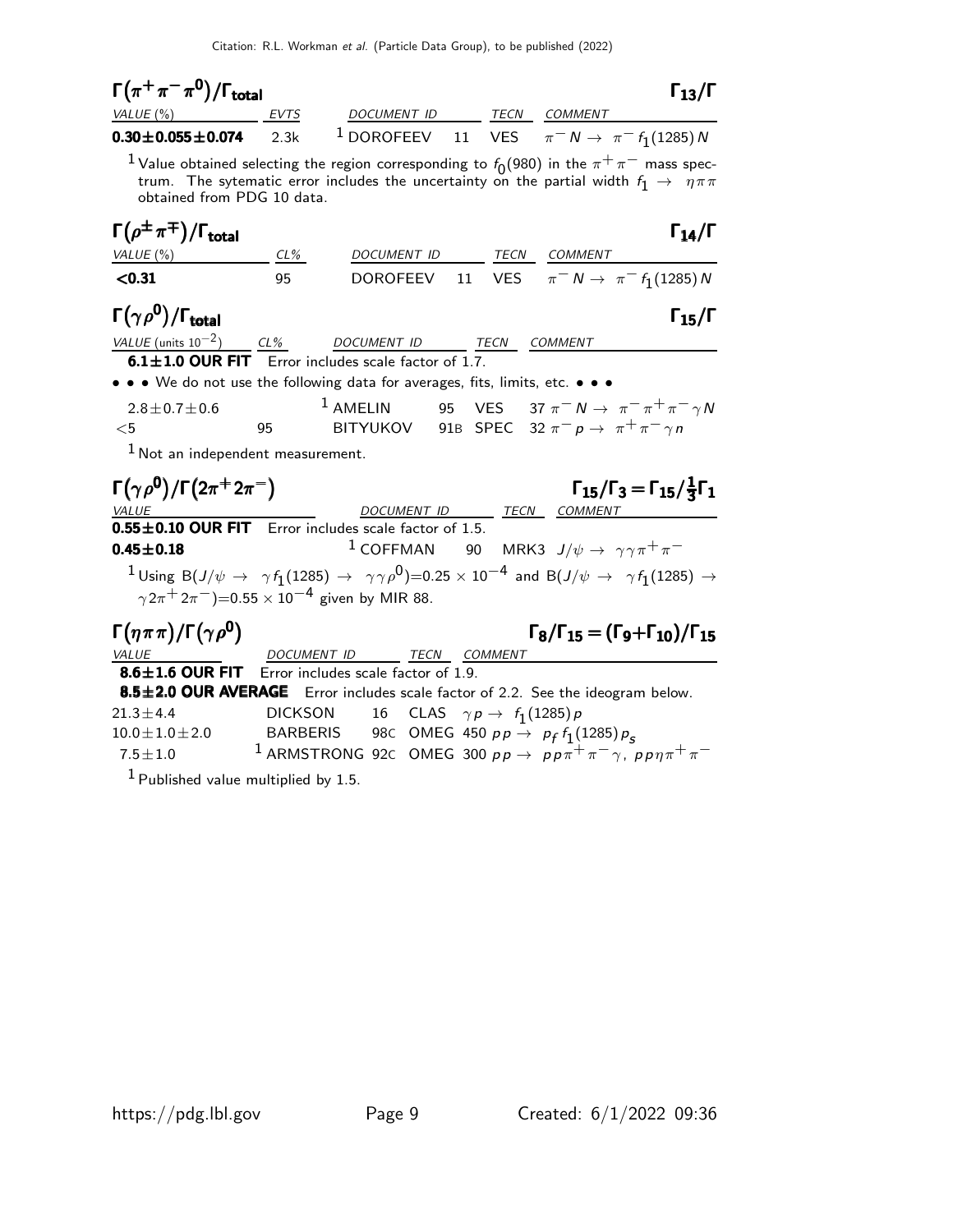| $\Gamma(\pi^+\pi^-\pi^0)/\Gamma_{\rm total}$                                                                                                                                                                                                        |                                   |                                     |                                            |             |                                                                                                      | $\Gamma_{13}/\Gamma$                                     |
|-----------------------------------------------------------------------------------------------------------------------------------------------------------------------------------------------------------------------------------------------------|-----------------------------------|-------------------------------------|--------------------------------------------|-------------|------------------------------------------------------------------------------------------------------|----------------------------------------------------------|
| VALUE (%)                                                                                                                                                                                                                                           | EVTS                              |                                     |                                            |             | DOCUMENT ID TECN COMMENT                                                                             |                                                          |
| $0.30 \pm 0.055 \pm 0.074$                                                                                                                                                                                                                          | 2.3k                              |                                     |                                            |             | <sup>1</sup> DOROFEEV 11 VES $\pi^- N \to \pi^- f_1(1285)N$                                          |                                                          |
| <sup>1</sup> Value obtained selecting the region corresponding to $f_0(980)$ in the $\pi^+\pi^-$ mass spec-<br>trum. The sytematic error includes the uncertainty on the partial width $f_1 \rightarrow \eta \pi \pi$<br>obtained from PDG 10 data. |                                   |                                     |                                            |             |                                                                                                      |                                                          |
| $\Gamma(\rho^{\pm}\pi^{\mp})/\Gamma_{\text{total}}$<br>VALUE (%)                                                                                                                                                                                    | CL%                               |                                     |                                            |             | DOCUMENT ID TECN COMMENT                                                                             | $\Gamma_{14}/\Gamma$                                     |
| < 0.31                                                                                                                                                                                                                                              | 95                                | DOROFEEV                            |                                            |             | 11 VES $\pi^- N \to \pi^- f_1(1285) N$                                                               |                                                          |
| $\Gamma(\gamma \rho^0)/\Gamma_{\rm total}$                                                                                                                                                                                                          |                                   |                                     |                                            |             |                                                                                                      | $\Gamma_{15}/\Gamma$                                     |
| VALUE (units $10^{-2}$ ) CL%                                                                                                                                                                                                                        |                                   | DOCUMENT ID                         |                                            | <b>TECN</b> | <b>COMMENT</b>                                                                                       |                                                          |
| $6.1 \pm 1.0$ OUR FIT Error includes scale factor of 1.7.                                                                                                                                                                                           |                                   |                                     |                                            |             |                                                                                                      |                                                          |
| • • • We do not use the following data for averages, fits, limits, etc. • • •                                                                                                                                                                       |                                   |                                     |                                            |             |                                                                                                      |                                                          |
| $2.8 \pm 0.7 \pm 0.6$                                                                                                                                                                                                                               |                                   | $1$ AMELIN                          |                                            |             | 95 VES 37 $\pi^- N \to \pi^- \pi^+ \pi^- \gamma N$                                                   |                                                          |
| $<$ 5                                                                                                                                                                                                                                               | 95                                |                                     |                                            |             | BITYUKOV 91B SPEC 32 $\pi^- p \to \pi^+ \pi^- \gamma n$                                              |                                                          |
| $1$ Not an independent measurement.                                                                                                                                                                                                                 |                                   |                                     |                                            |             |                                                                                                      |                                                          |
| $\Gamma(\gamma\rho^0)/\Gamma(2\pi^+2\pi^-)$<br><b>VALUE</b>                                                                                                                                                                                         |                                   |                                     |                                            |             | DOCUMENT ID TECN COMMENT                                                                             | $\Gamma_{15}/\Gamma_3 = \Gamma_{15}/\frac{1}{3}\Gamma_1$ |
| 0.55±0.10 OUR FIT Error includes scale factor of 1.5.                                                                                                                                                                                               |                                   |                                     |                                            |             |                                                                                                      |                                                          |
| $0.45 \pm 0.18$                                                                                                                                                                                                                                     |                                   |                                     |                                            |             | <sup>1</sup> COFFMAN 90 MRK3 $J/\psi \rightarrow \gamma \gamma \pi^+ \pi^-$                          |                                                          |
| $^1$ Using B $(J/\psi\to\ \gamma f_1(1285)\to\ \gamma\gamma\rho^0)$ =0.25 $\times$ 10 <sup>-4</sup> and B $(J/\psi\to\ \gamma f_1(1285)\to$<br>$\gamma 2\pi^+ 2\pi^-$ )=0.55 × 10 <sup>-4</sup> given by MIR 88.                                    |                                   |                                     |                                            |             |                                                                                                      |                                                          |
|                                                                                                                                                                                                                                                     |                                   |                                     |                                            |             |                                                                                                      |                                                          |
| $\Gamma(\eta \pi \pi)/\Gamma(\gamma \rho^0)$                                                                                                                                                                                                        |                                   |                                     |                                            |             | $\Gamma_8/\Gamma_{15} = (\Gamma_9 + \Gamma_{10})/\Gamma_{15}$                                        |                                                          |
| <b>VALUE</b>                                                                                                                                                                                                                                        | DOCUMENT ID                       |                                     | <b>TECN COMMENT</b>                        |             |                                                                                                      |                                                          |
| $8.6 \pm 1.6$ OUR FIT                                                                                                                                                                                                                               |                                   | Error includes scale factor of 1.9. |                                            |             |                                                                                                      |                                                          |
| 8.5±2.0 OUR AVERAGE                                                                                                                                                                                                                                 |                                   |                                     |                                            |             | Error includes scale factor of 2.2. See the ideogram below.                                          |                                                          |
| $21.3 \pm 4.4$<br>$10.0 \pm 1.0 \pm 2.0$                                                                                                                                                                                                            | <b>DICKSON</b><br><b>BARBERIS</b> |                                     | 16 CLAS $\gamma p \rightarrow f_1(1285) p$ |             | 98C OMEG 450 $pp \to p_f f_1(1285) p_s$                                                              |                                                          |
| $7.5 \pm 1.0$                                                                                                                                                                                                                                       |                                   |                                     |                                            |             | <sup>1</sup> ARMSTRONG 92C OMEG 300 $pp \rightarrow pp\pi^{+}\pi^{-}\gamma$ , $pp\eta\pi^{+}\pi^{-}$ |                                                          |
|                                                                                                                                                                                                                                                     |                                   |                                     |                                            |             |                                                                                                      |                                                          |

1 Published value multiplied by 1.5.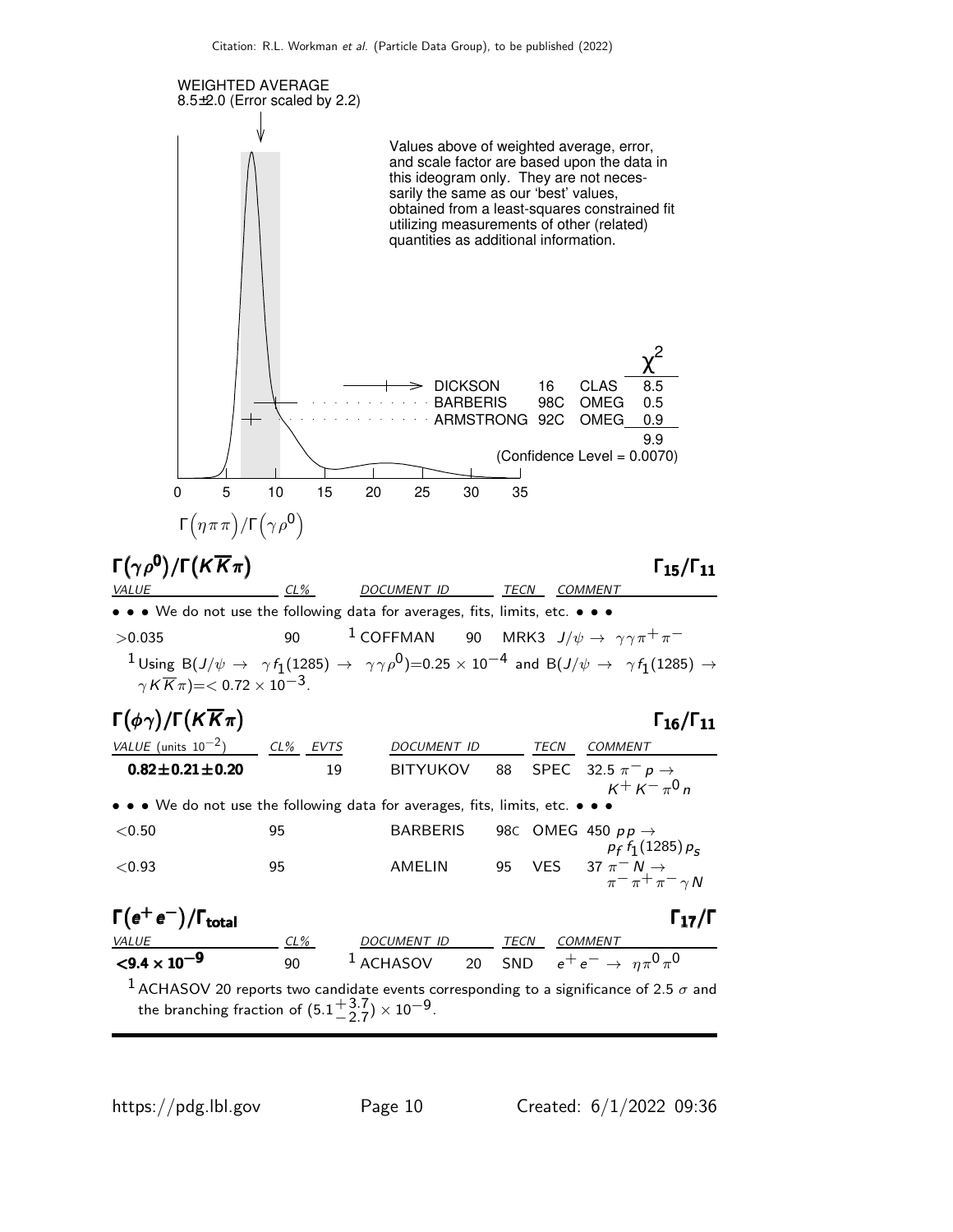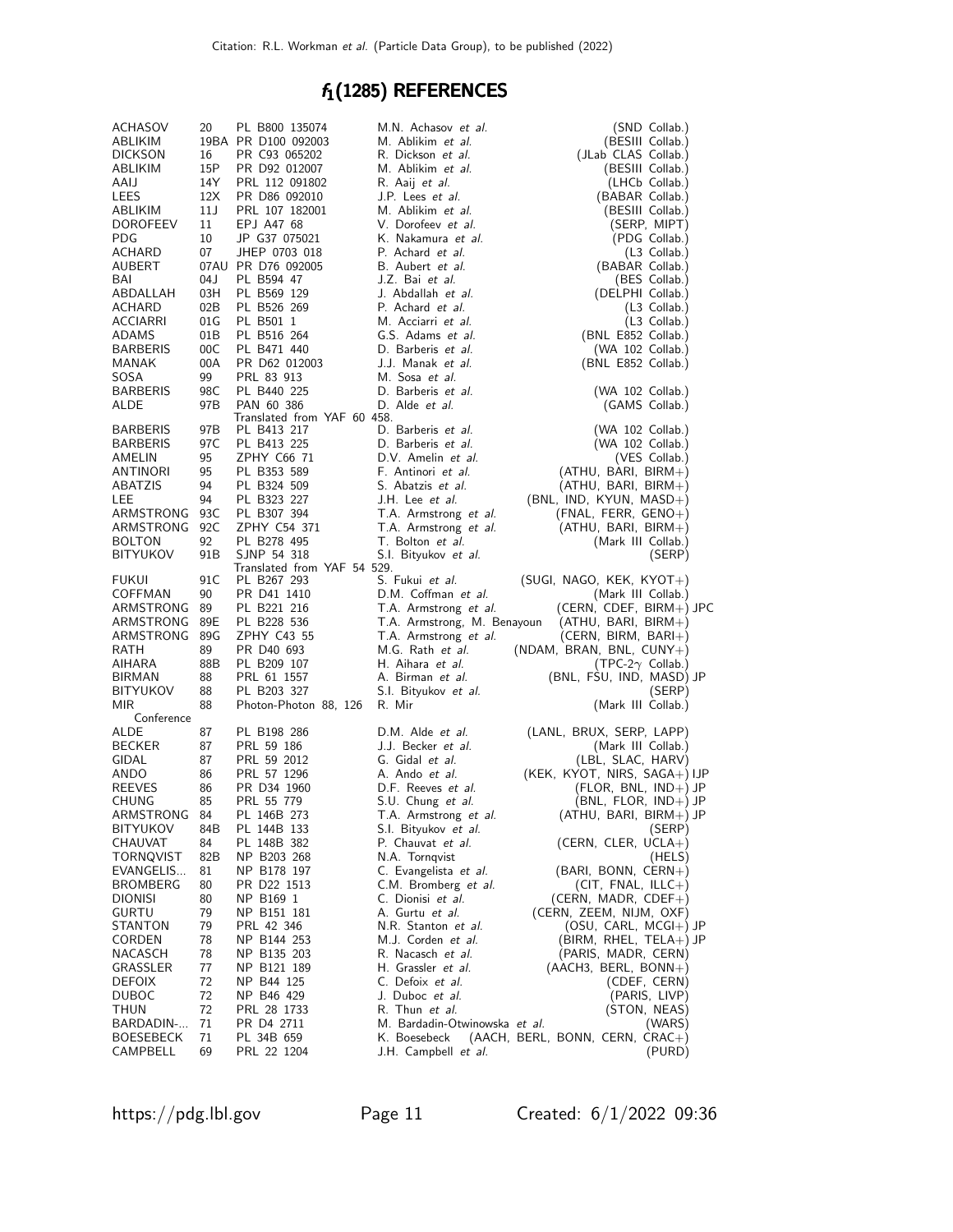## $f_1(1285)$  REFERENCES

| ACHASOV                  | 20              | PL B800 135074                  | M.N. Achasov et al.                       | (SND Collab.)                                          |
|--------------------------|-----------------|---------------------------------|-------------------------------------------|--------------------------------------------------------|
| ABLIKIM                  |                 | 19BA PR D100 092003             | M. Ablikim et al.                         | (BESIII Collab.)                                       |
| <b>DICKSON</b>           | 16              | PR C93 065202                   | R. Dickson et al.                         | (JLab CLAS Collab.)                                    |
| ABLIKIM                  | 15P             | PR D92 012007                   | M. Ablikim et al.                         | (BESIII Collab.)                                       |
| AAIJ<br>LEES             | 14Y<br>12X      | PRL 112 091802<br>PR D86 092010 | R. Aaij et al.<br>J.P. Lees et al.        | (LHCb Collab.)<br>(BABAR Collab.)                      |
| ABLIKIM                  | 11J             | PRL 107 182001                  | M. Ablikim et al.                         | (BESIII Collab.)                                       |
| <b>DOROFEEV</b>          | 11              | EPJ A47 68                      | V. Dorofeev et al.                        | (SERP, MIPT)                                           |
| PDG                      | 10              | JP G37 075021                   | K. Nakamura et al.                        | (PDG Collab.)                                          |
| ACHARD                   | 07              | JHEP 0703 018                   | P. Achard et al.                          | (L3 Collab.)                                           |
| AUBERT                   |                 | 07AU PR D76 092005              | B. Aubert et al.                          | (BABAR Collab.)                                        |
| BAI                      | 04 J            | PL B594 47                      | J.Z. Bai et al.                           | (BES Collab.)                                          |
| ABDALLAH                 | 03H             | PL B569 129                     | J. Abdallah et al.                        | (DELPHI Collab.)                                       |
| ACHARD                   | 02B             | PL B526 269                     | P. Achard et al.                          | (L3 Collab.)                                           |
| ACCIARRI                 | 01G             | PL B501 1                       | M. Acciarri et al.                        | (L3 Collab.)                                           |
| ADAMS                    | 01B             | PL B516 264                     | G.S. Adams et al.                         | (BNL E852 Collab.)                                     |
| <b>BARBERIS</b><br>MANAK | 00C<br>00A      | PL B471 440<br>PR D62 012003    | D. Barberis et al.<br>J.J. Manak et al.   | (WA 102 Collab.)                                       |
| SOSA                     | 99              | PRL 83 913                      | M. Sosa et al.                            | (BNL E852 Collab.)                                     |
| <b>BARBERIS</b>          | 98C             | PL B440 225                     | D. Barberis et al.                        | (WA 102 Collab.)                                       |
| ALDE                     | 97B             | PAN 60 386                      | D. Alde et al.                            | (GAMS Collab.)                                         |
|                          |                 | Translated from YAF 60 458.     |                                           |                                                        |
| <b>BARBERIS</b>          | 97B             | PL B413 217                     | D. Barberis et al.                        | (WA 102 Collab.)                                       |
| <b>BARBERIS</b>          | 97 C            | PL B413 225                     | D. Barberis et al.                        | (WA 102 Collab.)                                       |
| AMELIN                   | 95              | ZPHY C66 71                     | D.V. Amelin et al.                        | (VES Collab.)                                          |
| ANTINORI                 | 95              | PL B353 589                     | F. Antinori et al.                        | $(ATHU, BARI, BIRM+)$                                  |
| ABATZIS                  | 94              | PL B324 509                     | S. Abatzis et al.                         | (ATHU, BARI, BIRM+)                                    |
| LEE<br>ARMSTRONG         | 94<br>93C       | PL B323 227<br>PL B307 394      | J.H. Lee et al.<br>T.A. Armstrong et al.  | (BNL, IND, KYUN, MASD+)<br>(FNAL, FERR, GENO+)         |
| ARMSTRONG                | 92C             | ZPHY C54 371                    | T.A. Armstrong et al.                     | (ATHU, BARI, BIRM+)                                    |
| <b>BOLTON</b>            | 92              | PL B278 495                     | T. Bolton et al.                          | (Mark III Collab.)                                     |
| <b>BITYUKOV</b>          | 91 <sub>B</sub> | SJNP 54 318                     | S.I. Bityukov et al.                      | (SERP)                                                 |
|                          |                 | Translated from YAF 54 529.     |                                           |                                                        |
| FUKUI                    | 91 C            | PL B267 293                     | S. Fukui <i>et al.</i>                    | $(SUGI, NAGO, KEK, KYOT+)$                             |
| COFFMAN                  | 90              | PR D41 1410                     | D.M. Coffman et al.                       | (Mark III Collab.)                                     |
| ARMSTRONG 89             |                 | PL B221 216                     | T.A. Armstrong et al.                     | (CERN, CDEF, BIRM+) JPC                                |
| ARMSTRONG 89E            |                 | PL B228 536                     | T.A. Armstrong, M. Benayoun               | $(ATHU, BARI, BIRM+)$                                  |
| ARMSTRONG<br>RATH        | 89G<br>89       | ZPHY C43 55<br>PR D40 693       | T.A. Armstrong et al.<br>M.G. Rath et al. | (CERN, BIRM, BARI+)                                    |
| AIHARA                   | 88B             | PL B209 107                     | H. Aihara et al.                          | $(NDAM, BRAN, BNL, CUNY+)$<br>(TPC-2 $\gamma$ Collab.) |
| BIRMAN                   | 88              | PRL 61 1557                     | A. Birman et al.                          | (BNL, FSU, IND, MASD) JP                               |
| BITYUKOV                 | 88              | PL B203 327                     | S.I. Bityukov et al.                      | (SERP)                                                 |
| MIR                      | 88              | Photon-Photon 88, 126           | R. Mir                                    | (Mark III Collab.)                                     |
| Conference               |                 |                                 |                                           |                                                        |
| ALDE                     | 87              | PL B198 286                     | D.M. Alde et al.                          | (LANL, BRUX, SERP, LAPP)                               |
| <b>BECKER</b>            | 87              | PRL 59 186                      | J.J. Becker et al.                        | (Mark III Collab.)                                     |
| GIDAL                    | 87              | PRL 59 2012                     | G. Gidal et al.                           | (LBL, SLAC, HARV)                                      |
| ANDO<br><b>REEVES</b>    | 86              | PRL 57 1296                     | A. Ando et al.                            | $(KEK, KYOT, NIRS, SAGA+) IJP$                         |
| CHUNG                    | 86<br>85        | PR D34 1960<br>PRL 55 779       | D.F. Reeves et al.<br>S.U. Chung et al.   | (FLOR, BNL, IND+) JP<br>$(BNL, FLOR, IND+)$ JP         |
| ARMSTRONG                | 84              | PL 146B 273                     | T.A. Armstrong et al.                     | $(ATHU, BARI, BIRM+\n) JP$                             |
| BITYUKOV                 | 84B             | PL 144B 133                     | S.I. Bityukov et al.                      | (SERP)                                                 |
| CHAUVAT                  | 84              | PL 148B 382                     | P. Chauvat et al.                         | (CERN, CLER, UCLA+)                                    |
| TORNQVIST                | 82B             | NP B203 268                     | N.A. Tornqvist                            | (HELS)                                                 |
| EVANGELIS                | 81              | NP B178 197                     | C. Evangelista et al.                     | (BARI, BONN, CERN+)                                    |
| BROMBERG                 | 80              | PR D22 1513                     | C.M. Bromberg et al.                      | $(CIT, FNAL, ILLC+)$                                   |
| DIONISI                  | 80              | NP B169 1                       | C. Dionisi et al.                         | (CERN, MADR, $CDF++$ )                                 |
| GURTU                    | 79              | NP B151 181                     | A. Gurtu <i>et al.</i>                    | (CERN, ZEEM, NIJM, OXF)                                |
| STANTON                  | 79              | PRL 42 346                      | N.R. Stanton et al.                       | (OSU, CARL, MCGI+) JP                                  |
| CORDEN<br>NACASCH        | 78<br>78        | NP B144 253<br>NP B135 203      | M.J. Corden et al.<br>R. Nacasch et al.   | $(BIRM, RHEL, TELA+) JP$<br>(PARIS, MADR, CERN)        |
| GRASSLER                 | 77              | NP B121 189                     | H. Grassler et al.                        | (AACH3, BERL, BONN+)                                   |
| DEFOIX                   | 72              | NP B44 125                      | C. Defoix et al.                          | (CDEF, CERN)                                           |
| DUBOC                    | 72              | NP B46 429                      | J. Duboc et al.                           | (PARIS, LIVP)                                          |
| THUN                     | 72              | PRL 28 1733                     | R. Thun et al.                            | (STON, NEAS)                                           |
| BARDADIN-                | 71              | PR D4 2711                      | M. Bardadin-Otwinowska et al.             | (WARS)                                                 |
| BOESEBECK                | 71              | PL 34B 659                      | K. Boesebeck                              | $(AACH, BERL, BONN, CERN, CRAC+)$                      |
| CAMPBELL                 | 69              | PRL 22 1204                     | J.H. Campbell <i>et al.</i>               | (PURD)                                                 |